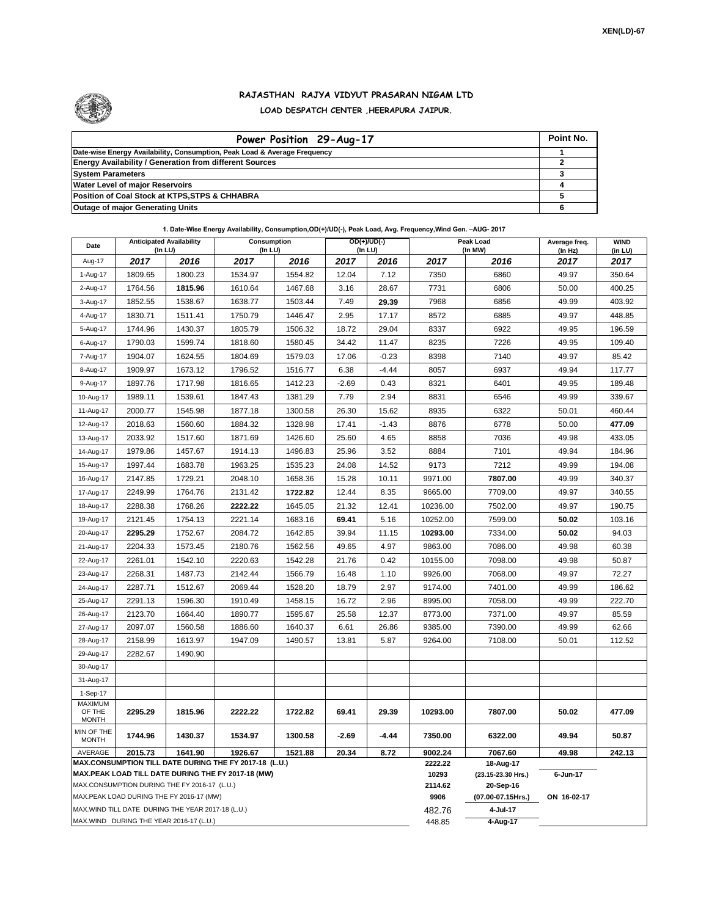

## **RAJASTHAN RAJYA VIDYUT PRASARAN NIGAM LTD LOAD DESPATCH CENTER ,HEERAPURA JAIPUR.**

| Power Position 29-Aug-17                                                  | Point No. |
|---------------------------------------------------------------------------|-----------|
| Date-wise Energy Availability, Consumption, Peak Load & Average Frequency |           |
| <b>Energy Availability / Generation from different Sources</b>            |           |
| <b>System Parameters</b>                                                  |           |
| <b>Water Level of major Reservoirs</b>                                    |           |
| Position of Coal Stock at KTPS, STPS & CHHABRA                            |           |
| <b>Outage of major Generating Units</b>                                   |           |

## **1. Date-Wise Energy Availability, Consumption,OD(+)/UD(-), Peak Load, Avg. Frequency,Wind Gen. –AUG- 2017**

| Date                                                                                                         | <b>Anticipated Availability</b><br>$($ In LU $)$ |                                                    | Consumption<br>(In LU) |         |         | $OD(+)/UD(-)$<br>(In LU) |                  | Peak Load<br>(In MW)            |                 | <b>WIND</b><br>(in LU) |
|--------------------------------------------------------------------------------------------------------------|--------------------------------------------------|----------------------------------------------------|------------------------|---------|---------|--------------------------|------------------|---------------------------------|-----------------|------------------------|
| Aug-17                                                                                                       | 2017                                             | 2016                                               | 2017                   | 2016    | 2017    | 2016                     | 2017             | 2016                            | (In Hz)<br>2017 | 2017                   |
| 1-Aug-17                                                                                                     | 1809.65                                          | 1800.23                                            | 1534.97                | 1554.82 | 12.04   | 7.12                     | 7350             | 6860                            | 49.97           | 350.64                 |
| 2-Aug-17                                                                                                     | 1764.56                                          | 1815.96                                            | 1610.64                | 1467.68 | 3.16    | 28.67                    | 7731             | 6806                            | 50.00           | 400.25                 |
| 3-Aug-17                                                                                                     | 1852.55                                          | 1538.67                                            | 1638.77                | 1503.44 | 7.49    | 29.39                    | 7968             | 6856                            | 49.99           | 403.92                 |
| 4-Aug-17                                                                                                     | 1830.71                                          | 1511.41                                            | 1750.79                | 1446.47 | 2.95    | 17.17                    | 8572             | 6885                            | 49.97           | 448.85                 |
| 5-Aug-17                                                                                                     | 1744.96                                          | 1430.37                                            | 1805.79                | 1506.32 | 18.72   | 29.04                    | 8337             | 6922                            | 49.95           | 196.59                 |
| 6-Aug-17                                                                                                     | 1790.03                                          | 1599.74                                            | 1818.60                | 1580.45 | 34.42   | 11.47                    | 8235             | 7226                            | 49.95           | 109.40                 |
| 7-Aug-17                                                                                                     | 1904.07                                          | 1624.55                                            | 1804.69                | 1579.03 | 17.06   | $-0.23$                  | 8398             | 7140                            | 49.97           | 85.42                  |
| 8-Aug-17                                                                                                     | 1909.97                                          | 1673.12                                            | 1796.52                | 1516.77 | 6.38    | $-4.44$                  | 8057             | 6937                            | 49.94           | 117.77                 |
| 9-Aug-17                                                                                                     | 1897.76                                          | 1717.98                                            | 1816.65                | 1412.23 | $-2.69$ | 0.43                     | 8321             | 6401                            | 49.95           | 189.48                 |
| 10-Aug-17                                                                                                    | 1989.11                                          | 1539.61                                            | 1847.43                | 1381.29 | 7.79    | 2.94                     | 8831             | 6546                            | 49.99           | 339.67                 |
| 11-Aug-17                                                                                                    | 2000.77                                          | 1545.98                                            | 1877.18                | 1300.58 | 26.30   | 15.62                    | 8935             | 6322                            | 50.01           | 460.44                 |
| 12-Aug-17                                                                                                    | 2018.63                                          | 1560.60                                            | 1884.32                | 1328.98 | 17.41   | $-1.43$                  | 8876             | 6778                            | 50.00           | 477.09                 |
| 13-Aug-17                                                                                                    | 2033.92                                          | 1517.60                                            | 1871.69                | 1426.60 | 25.60   | 4.65                     | 8858             | 7036                            | 49.98           | 433.05                 |
| 14-Aug-17                                                                                                    | 1979.86                                          | 1457.67                                            | 1914.13                | 1496.83 | 25.96   | 3.52                     | 8884             | 7101                            | 49.94           | 184.96                 |
| 15-Aug-17                                                                                                    | 1997.44                                          | 1683.78                                            | 1963.25                | 1535.23 | 24.08   | 14.52                    | 9173             | 7212                            | 49.99           | 194.08                 |
| 16-Aug-17                                                                                                    | 2147.85                                          | 1729.21                                            | 2048.10                | 1658.36 | 15.28   | 10.11                    | 9971.00          | 7807.00                         | 49.99           | 340.37                 |
| 17-Aug-17                                                                                                    | 2249.99                                          | 1764.76                                            | 2131.42                | 1722.82 | 12.44   | 8.35                     | 9665.00          | 7709.00                         | 49.97           | 340.55                 |
| 18-Aug-17                                                                                                    | 2288.38                                          | 1768.26                                            | 2222.22                | 1645.05 | 21.32   | 12.41                    | 10236.00         | 7502.00                         | 49.97           | 190.75                 |
| 19-Aug-17                                                                                                    | 2121.45                                          | 1754.13                                            | 2221.14                | 1683.16 | 69.41   | 5.16                     | 10252.00         | 7599.00                         | 50.02           | 103.16                 |
| 20-Aug-17                                                                                                    | 2295.29                                          | 1752.67                                            | 2084.72                | 1642.85 | 39.94   | 11.15                    | 10293.00         | 7334.00                         | 50.02           | 94.03                  |
| 21-Aug-17                                                                                                    | 2204.33                                          | 1573.45                                            | 2180.76                | 1562.56 | 49.65   | 4.97                     | 9863.00          | 7086.00                         | 49.98           | 60.38                  |
| 22-Aug-17                                                                                                    | 2261.01                                          | 1542.10                                            | 2220.63                | 1542.28 | 21.76   | 0.42                     | 10155.00         | 7098.00                         | 49.98           | 50.87                  |
| 23-Aug-17                                                                                                    | 2268.31                                          | 1487.73                                            | 2142.44                | 1566.79 | 16.48   | 1.10                     | 9926.00          | 7068.00                         | 49.97           | 72.27                  |
| 24-Aug-17                                                                                                    | 2287.71                                          | 1512.67                                            | 2069.44                | 1528.20 | 18.79   | 2.97                     | 9174.00          | 7401.00                         | 49.99           | 186.62                 |
| 25-Aug-17                                                                                                    | 2291.13                                          | 1596.30                                            | 1910.49                | 1458.15 | 16.72   | 2.96                     | 8995.00          | 7058.00                         | 49.99           | 222.70                 |
| 26-Aug-17                                                                                                    | 2123.70                                          | 1664.40                                            | 1890.77                | 1595.67 | 25.58   | 12.37                    | 8773.00          | 7371.00                         | 49.97           | 85.59                  |
| 27-Aug-17                                                                                                    | 2097.07                                          | 1560.58                                            | 1886.60                | 1640.37 | 6.61    | 26.86                    | 9385.00          | 7390.00                         | 49.99           | 62.66                  |
| 28-Aug-17                                                                                                    | 2158.99                                          | 1613.97                                            | 1947.09                | 1490.57 | 13.81   | 5.87                     | 9264.00          | 7108.00                         | 50.01           | 112.52                 |
| 29-Aug-17                                                                                                    | 2282.67                                          | 1490.90                                            |                        |         |         |                          |                  |                                 |                 |                        |
| 30-Aug-17                                                                                                    |                                                  |                                                    |                        |         |         |                          |                  |                                 |                 |                        |
| 31-Aug-17                                                                                                    |                                                  |                                                    |                        |         |         |                          |                  |                                 |                 |                        |
| 1-Sep-17<br><b>MAXIMUM</b>                                                                                   |                                                  |                                                    |                        |         |         |                          |                  |                                 |                 |                        |
| OF THE<br><b>MONTH</b>                                                                                       | 2295.29                                          | 1815.96                                            | 2222.22                | 1722.82 | 69.41   | 29.39                    | 10293.00         | 7807.00                         | 50.02           | 477.09                 |
| MIN OF THE<br><b>MONTH</b>                                                                                   | 1744.96                                          | 1430.37                                            | 1534.97                | 1300.58 | $-2.69$ | $-4.44$                  | 7350.00          | 6322.00                         | 49.94           | 50.87                  |
| AVERAGE                                                                                                      | 2015.73                                          | 1641.90                                            | 1926.67                | 1521.88 | 20.34   | 8.72                     | 9002.24          | 7067.60                         | 49.98           | 242.13                 |
| MAX.CONSUMPTION TILL DATE DURING THE FY 2017-18 (L.U.)<br>MAX.PEAK LOAD TILL DATE DURING THE FY 2017-18 (MW) |                                                  |                                                    |                        |         |         |                          | 2222.22<br>10293 | 18-Aug-17<br>(23.15-23.30 Hrs.) | 6-Jun-17        |                        |
| MAX.CONSUMPTION DURING THE FY 2016-17 (L.U.)                                                                 |                                                  |                                                    |                        |         |         |                          | 2114.62          | 20-Sep-16                       |                 |                        |
| MAX.PEAK LOAD DURING THE FY 2016-17 (MW)                                                                     |                                                  |                                                    |                        |         |         |                          | 9906             | (07.00-07.15Hrs.)               | ON 16-02-17     |                        |
|                                                                                                              |                                                  | MAX. WIND TILL DATE DURING THE YEAR 2017-18 (L.U.) |                        |         |         |                          | 482.76           | 4-Jul-17                        |                 |                        |
| MAX.WIND DURING THE YEAR 2016-17 (L.U.)                                                                      |                                                  |                                                    |                        |         |         |                          |                  | 4-Aug-17                        |                 |                        |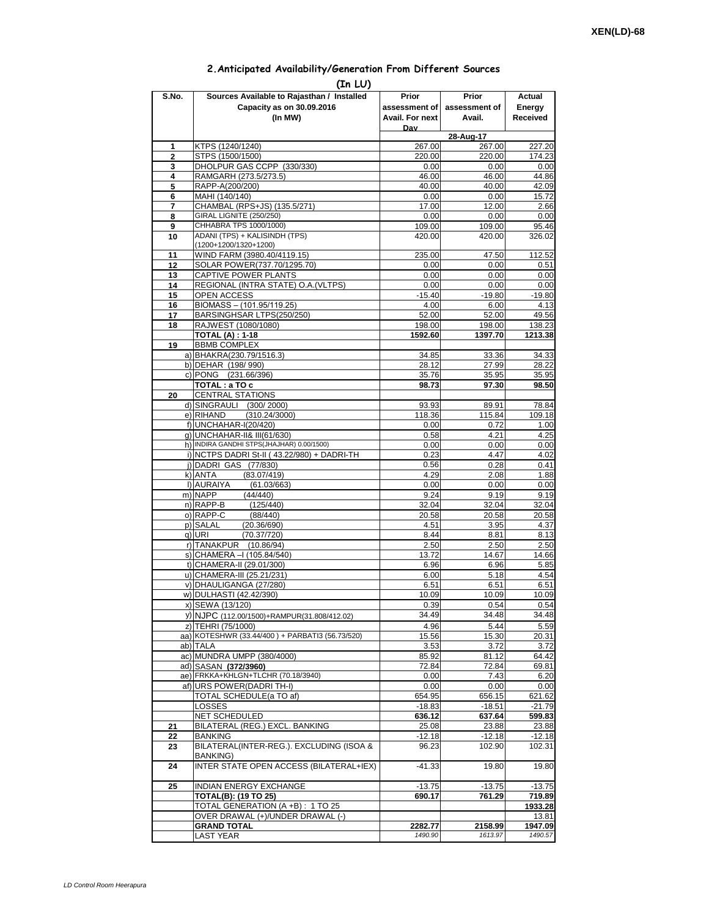## **2.Anticipated Availability/Generation From Different Sources**

| (In LU)        |                                                                       |                    |                     |                    |  |  |  |  |  |
|----------------|-----------------------------------------------------------------------|--------------------|---------------------|--------------------|--|--|--|--|--|
| S.No.          | Sources Available to Rajasthan / Installed                            | Prior              | Prior               | Actual             |  |  |  |  |  |
|                | Capacity as on 30.09.2016                                             | assessment of I    | assessment of       | Energy             |  |  |  |  |  |
|                | (In MW)                                                               | Avail. For next    | Avail.              | Received           |  |  |  |  |  |
|                |                                                                       | Dav                |                     |                    |  |  |  |  |  |
| 1              | KTPS (1240/1240)                                                      | 267.00             | 28-Aug-17<br>267.00 | 227.20             |  |  |  |  |  |
| $\overline{2}$ | STPS (1500/1500)                                                      | 220.00             | 220.00              | 174.23             |  |  |  |  |  |
| 3              | DHOLPUR GAS CCPP (330/330)                                            | 0.00               | 0.00                | 0.00               |  |  |  |  |  |
| 4              | RAMGARH (273.5/273.5)                                                 | 46.00              | 46.00               | 44.86              |  |  |  |  |  |
| 5              | RAPP-A(200/200)                                                       | 40.00              | 40.00               | 42.09              |  |  |  |  |  |
| 6              | MAHI (140/140)                                                        | 0.00<br>17.00      | 0.00                | 15.72              |  |  |  |  |  |
| 7<br>8         | CHAMBAL (RPS+JS) (135.5/271)<br>GIRAL LIGNITE (250/250)               | 0.00               | 12.00<br>0.00       | 2.66<br>0.00       |  |  |  |  |  |
| 9              | CHHABRA TPS 1000/1000)                                                | 109.00             | 109.00              | 95.46              |  |  |  |  |  |
| 10             | ADANI (TPS) + KALISINDH (TPS)                                         | 420.00             | 420.00              | 326.02             |  |  |  |  |  |
|                | (1200+1200/1320+1200)                                                 |                    |                     |                    |  |  |  |  |  |
| 11             | WIND FARM (3980.40/4119.15)                                           | 235.00             | 47.50               | 112.52             |  |  |  |  |  |
| 12<br>13       | SOLAR POWER(737.70/1295.70)<br>CAPTIVE POWER PLANTS                   | 0.00<br>0.00       | 0.00<br>0.00        | 0.51<br>0.00       |  |  |  |  |  |
| 14             | REGIONAL (INTRA STATE) O.A. (VLTPS)                                   | 0.00               | 0.00                | 0.00               |  |  |  |  |  |
| 15             | OPEN ACCESS                                                           | $-15.40$           | $-19.80$            | $-19.80$           |  |  |  |  |  |
| 16             | BIOMASS - (101.95/119.25)                                             | 4.00               | 6.00                | 4.13               |  |  |  |  |  |
| 17             | BARSINGHSAR LTPS(250/250)                                             | 52.00              | 52.00               | 49.56              |  |  |  |  |  |
| 18             | RAJWEST (1080/1080)                                                   | 198.00             | 198.00              | 138.23             |  |  |  |  |  |
|                | <b>TOTAL (A): 1-18</b><br><b>BBMB COMPLEX</b>                         | 1592.60            | 1397.70             | 1213.38            |  |  |  |  |  |
| 19             | a) BHAKRA(230.79/1516.3)                                              | 34.85              | 33.36               | 34.33              |  |  |  |  |  |
|                | b) DEHAR (198/990)                                                    | 28.12              | 27.99               | 28.22              |  |  |  |  |  |
|                | c) PONG (231.66/396)                                                  | 35.76              | 35.95               | 35.95              |  |  |  |  |  |
|                | TOTAL: a TO c                                                         | 98.73              | 97.30               | 98.50              |  |  |  |  |  |
| 20             | <b>CENTRAL STATIONS</b>                                               |                    |                     |                    |  |  |  |  |  |
|                | d) SINGRAULI (300/2000)                                               | 93.93              | 89.91               | 78.84              |  |  |  |  |  |
|                | e) RIHAND<br>(310.24/3000)<br>f) UNCHAHAR-I(20/420)                   | 118.36<br>0.00     | 115.84<br>0.72      | 109.18<br>1.00     |  |  |  |  |  |
|                | g) UNCHAHAR-II& III(61/630)                                           | 0.58               | 4.21                | 4.25               |  |  |  |  |  |
|                | h) INDIRA GANDHI STPS(JHAJHAR) 0.00/1500)                             | 0.00               | 0.00                | 0.00               |  |  |  |  |  |
|                | i) NCTPS DADRI St-II (43.22/980) + DADRI-TH                           | 0.23               | 4.47                | 4.02               |  |  |  |  |  |
|                | j) DADRI GAS (77/830)                                                 | 0.56               | 0.28                | 0.41               |  |  |  |  |  |
|                | (83.07/419)<br>k) ANTA<br>I) AURAIYA                                  | 4.29               | 2.08                | 1.88               |  |  |  |  |  |
|                | (61.03/663)<br>m) NAPP<br>(44/440)                                    | 0.00<br>9.24       | 0.00<br>9.19        | 0.00<br>9.19       |  |  |  |  |  |
|                | n) RAPP-B<br>(125/440)                                                | 32.04              | 32.04               | 32.04              |  |  |  |  |  |
|                | o) RAPP-C<br>(88/440)                                                 | 20.58              | 20.58               | 20.58              |  |  |  |  |  |
|                | p) SALAL<br>(20.36/690)                                               | 4.51               | 3.95                | 4.37               |  |  |  |  |  |
|                | q) URI<br>(70.37/720)                                                 | 8.44               | 8.81                | 8.13               |  |  |  |  |  |
|                | r) TANAKPUR<br>(10.86/94)<br>s) CHAMERA - (105.84/540)                | 2.50<br>13.72      | 2.50<br>14.67       | 2.50<br>14.66      |  |  |  |  |  |
|                | t) CHAMERA-II (29.01/300)                                             | 6.96               | 6.96                | 5.85               |  |  |  |  |  |
|                | u) CHAMERA-III (25.21/231)                                            | 6.00               | 5.18                | 4.54               |  |  |  |  |  |
|                | v) DHAULIGANGA (27/280)                                               | 6.51               | 6.51                | 6.51               |  |  |  |  |  |
|                | w) DULHASTI (42.42/390)                                               | 10.09              | 10.09               | 10.09              |  |  |  |  |  |
|                | x) SEWA (13/120)                                                      | 0.39               | 0.54                | 0.54               |  |  |  |  |  |
|                | y) NJPC (112.00/1500)+RAMPUR(31.808/412.02)                           | 34.49              | 34.48               | 34.48              |  |  |  |  |  |
|                | z) TEHRI (75/1000)<br>aa) KOTESHWR (33.44/400) + PARBATI3 (56.73/520) | 4.96<br>15.56      | 5.44<br>15.30       | 5.59<br>20.31      |  |  |  |  |  |
|                | ab) TALA                                                              | 3.53               | 3.72                | 3.72               |  |  |  |  |  |
|                | ac) MUNDRA UMPP (380/4000)                                            | 85.92              | 81.12               | 64.42              |  |  |  |  |  |
|                | ad) SASAN (372/3960)                                                  | 72.84              | 72.84               | 69.81              |  |  |  |  |  |
|                | ae) FRKKA+KHLGN+TLCHR (70.18/3940)                                    | 0.00               | 7.43                | 6.20               |  |  |  |  |  |
|                | af) URS POWER(DADRITH-I)                                              | 0.00               | 0.00                | 0.00               |  |  |  |  |  |
|                | TOTAL SCHEDULE(a TO af)                                               | 654.95             | 656.15              | 621.62             |  |  |  |  |  |
|                | LOSSES<br>NET SCHEDULED                                               | $-18.83$<br>636.12 | $-18.51$<br>637.64  | $-21.79$<br>599.83 |  |  |  |  |  |
| 21             | BILATERAL (REG.) EXCL. BANKING                                        | 25.08              | 23.88               | 23.88              |  |  |  |  |  |
| 22             | BANKING                                                               | $-12.18$           | $-12.18$            | $-12.18$           |  |  |  |  |  |
| 23             | BILATERAL(INTER-REG.). EXCLUDING (ISOA &                              | 96.23              | 102.90              | 102.31             |  |  |  |  |  |
|                | BANKING)                                                              |                    |                     |                    |  |  |  |  |  |
| 24             | INTER STATE OPEN ACCESS (BILATERAL+IEX)                               | $-41.33$           | 19.80               | 19.80              |  |  |  |  |  |
| 25             | <b>INDIAN ENERGY EXCHANGE</b>                                         | $-13.75$           | $-13.75$            | $-13.75$           |  |  |  |  |  |
|                | <b>TOTAL(B): (19 TO 25)</b>                                           | 690.17             | 761.29              | 719.89             |  |  |  |  |  |
|                | TOTAL GENERATION (A +B) : 1 TO 25                                     |                    |                     | 1933.28            |  |  |  |  |  |
|                | OVER DRAWAL (+)/UNDER DRAWAL (-)                                      |                    |                     | 13.81              |  |  |  |  |  |
|                | <b>GRAND TOTAL</b>                                                    | 2282.77            | 2158.99             | 1947.09            |  |  |  |  |  |
|                | <b>LAST YEAR</b>                                                      | 1490.90            | 1613.97             | 1490.57            |  |  |  |  |  |